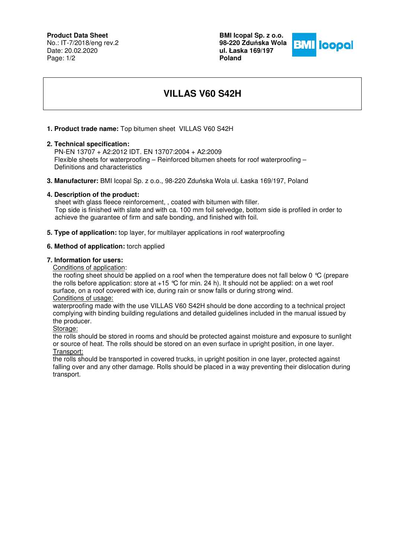# **Product Data Sheet**

No.: IT-7/2018/eng rev.2 Date: 20.02.2020 Page: 1/2

**BMI Icopal Sp. z o.o. 98-220 Zdu**ń**ska Wola ul. Łaska 169/197 Poland** 



# **VILLAS V60 S42H**

## **1. Product trade name:** Top bitumen sheet VILLAS V60 S42H

#### **2. Technical specification:**

 PN-EN 13707 + A2:2012 IDT. EN 13707:2004 + A2:2009 Flexible sheets for waterproofing – Reinforced bitumen sheets for roof waterproofing – Definitions and characteristics

**3. Manufacturer:** BMI Icopal Sp. z o.o., 98-220 Zduńska Wola ul. Łaska 169/197, Poland

#### **4. Description of the product:**

 sheet with glass fleece reinforcement, , coated with bitumen with filler. Top side is finished with slate and with ca. 100 mm foil selvedge, bottom side is profiled in order to achieve the guarantee of firm and safe bonding, and finished with foil.

**5. Type of application:** top layer, for multilayer applications in roof waterproofing

#### **6. Method of application:** torch applied

#### **7. Information for users:**

Conditions of application:

the roofing sheet should be applied on a roof when the temperature does not fall below 0 °C (prepare the rolls before application: store at  $+15$  °C for min. 24 h). It should not be applied: on a wet roof surface, on a roof covered with ice, during rain or snow falls or during strong wind.

Conditions of usage:

waterproofing made with the use VILLAS V60 S42H should be done according to a technical project complying with binding building regulations and detailed guidelines included in the manual issued by the producer.

Storage:

the rolls should be stored in rooms and should be protected against moisture and exposure to sunlight or source of heat. The rolls should be stored on an even surface in upright position, in one layer. Transport:

the rolls should be transported in covered trucks, in upright position in one layer, protected against falling over and any other damage. Rolls should be placed in a way preventing their dislocation during transport.